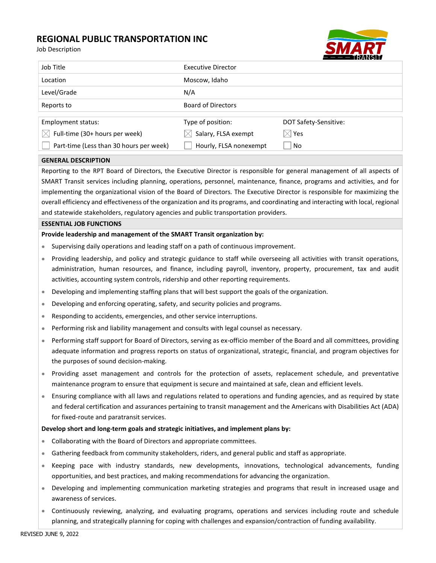# REGIONAL PUBLIC TRANSPORTATION INC

|                                                                                                                                                                                                                                                                                                                                                                                                                                                                                                                                                                                                               | REGIUNAL PUBLIC TRANSPURTATION INC<br>Job Description                                                                                                                                                                                                                                                                                |                           |                       |
|---------------------------------------------------------------------------------------------------------------------------------------------------------------------------------------------------------------------------------------------------------------------------------------------------------------------------------------------------------------------------------------------------------------------------------------------------------------------------------------------------------------------------------------------------------------------------------------------------------------|--------------------------------------------------------------------------------------------------------------------------------------------------------------------------------------------------------------------------------------------------------------------------------------------------------------------------------------|---------------------------|-----------------------|
|                                                                                                                                                                                                                                                                                                                                                                                                                                                                                                                                                                                                               | Job Title                                                                                                                                                                                                                                                                                                                            | <b>Executive Director</b> |                       |
|                                                                                                                                                                                                                                                                                                                                                                                                                                                                                                                                                                                                               | Location                                                                                                                                                                                                                                                                                                                             | Moscow, Idaho             |                       |
|                                                                                                                                                                                                                                                                                                                                                                                                                                                                                                                                                                                                               | Level/Grade                                                                                                                                                                                                                                                                                                                          | N/A                       |                       |
|                                                                                                                                                                                                                                                                                                                                                                                                                                                                                                                                                                                                               | Reports to                                                                                                                                                                                                                                                                                                                           | <b>Board of Directors</b> |                       |
|                                                                                                                                                                                                                                                                                                                                                                                                                                                                                                                                                                                                               | Employment status:                                                                                                                                                                                                                                                                                                                   | Type of position:         | DOT Safety-Sensitive: |
|                                                                                                                                                                                                                                                                                                                                                                                                                                                                                                                                                                                                               | Full-time (30+ hours per week)                                                                                                                                                                                                                                                                                                       | Salary, FLSA exempt       | Yes                   |
|                                                                                                                                                                                                                                                                                                                                                                                                                                                                                                                                                                                                               | Part-time (Less than 30 hours per week)                                                                                                                                                                                                                                                                                              | Hourly, FLSA nonexempt    | No                    |
| <b>GENERAL DESCRIPTION</b>                                                                                                                                                                                                                                                                                                                                                                                                                                                                                                                                                                                    |                                                                                                                                                                                                                                                                                                                                      |                           |                       |
| Reporting to the RPT Board of Directors, the Executive Director is responsible for general management of all aspects of<br>SMART Transit services including planning, operations, personnel, maintenance, finance, programs and activities, and for<br>implementing the organizational vision of the Board of Directors. The Executive Director is responsible for maximizing the<br>overall efficiency and effectiveness of the organization and its programs, and coordinating and interacting with local, regional<br>and statewide stakeholders, regulatory agencies and public transportation providers. |                                                                                                                                                                                                                                                                                                                                      |                           |                       |
| <b>ESSENTIAL JOB FUNCTIONS</b>                                                                                                                                                                                                                                                                                                                                                                                                                                                                                                                                                                                |                                                                                                                                                                                                                                                                                                                                      |                           |                       |
| Provide leadership and management of the SMART Transit organization by:                                                                                                                                                                                                                                                                                                                                                                                                                                                                                                                                       |                                                                                                                                                                                                                                                                                                                                      |                           |                       |
| ۰                                                                                                                                                                                                                                                                                                                                                                                                                                                                                                                                                                                                             | Supervising daily operations and leading staff on a path of continuous improvement.                                                                                                                                                                                                                                                  |                           |                       |
| ۰                                                                                                                                                                                                                                                                                                                                                                                                                                                                                                                                                                                                             | Providing leadership, and policy and strategic guidance to staff while overseeing all activities with transit operations,<br>administration, human resources, and finance, including payroll, inventory, property, procurement, tax and audit<br>activities, accounting system controls, ridership and other reporting requirements. |                           |                       |
|                                                                                                                                                                                                                                                                                                                                                                                                                                                                                                                                                                                                               | Developing and implementing staffing plans that will best support the goals of the organization.                                                                                                                                                                                                                                     |                           |                       |
| $\qquad \qquad \bullet$                                                                                                                                                                                                                                                                                                                                                                                                                                                                                                                                                                                       | Developing and enforcing operating, safety, and security policies and programs.                                                                                                                                                                                                                                                      |                           |                       |
| ۰                                                                                                                                                                                                                                                                                                                                                                                                                                                                                                                                                                                                             | Responding to accidents, emergencies, and other service interruptions.                                                                                                                                                                                                                                                               |                           |                       |
| ۰                                                                                                                                                                                                                                                                                                                                                                                                                                                                                                                                                                                                             | Performing risk and liability management and consults with legal counsel as necessary.                                                                                                                                                                                                                                               |                           |                       |
| $\bullet$                                                                                                                                                                                                                                                                                                                                                                                                                                                                                                                                                                                                     | Performing staff support for Board of Directors, serving as ex-officio member of the Board and all committees, providing<br>adequate information and progress reports on status of organizational, strategic, financial, and program objectives for<br>the purposes of sound decision-making.                                        |                           |                       |
|                                                                                                                                                                                                                                                                                                                                                                                                                                                                                                                                                                                                               | Providing asset management and controls for the protection of assets, replacement schedule, and preventative<br>maintenance program to ensure that equipment is secure and maintained at safe, clean and efficient levels.                                                                                                           |                           |                       |
|                                                                                                                                                                                                                                                                                                                                                                                                                                                                                                                                                                                                               | Ensuring compliance with all laws and regulations related to operations and funding agencies, and as required by state<br>and federal certification and assurances pertaining to transit management and the Americans with Disabilities Act (ADA)<br>for fixed-route and paratransit services.                                       |                           |                       |
|                                                                                                                                                                                                                                                                                                                                                                                                                                                                                                                                                                                                               | Develop short and long-term goals and strategic initiatives, and implement plans by:                                                                                                                                                                                                                                                 |                           |                       |
| ۰                                                                                                                                                                                                                                                                                                                                                                                                                                                                                                                                                                                                             | Collaborating with the Board of Directors and appropriate committees.                                                                                                                                                                                                                                                                |                           |                       |
| ۰                                                                                                                                                                                                                                                                                                                                                                                                                                                                                                                                                                                                             | Gathering feedback from community stakeholders, riders, and general public and staff as appropriate.                                                                                                                                                                                                                                 |                           |                       |
| ۰                                                                                                                                                                                                                                                                                                                                                                                                                                                                                                                                                                                                             | Keeping pace with industry standards, new developments, innovations, technological advancements, funding<br>opportunities, and best practices, and making recommendations for advancing the organization.                                                                                                                            |                           |                       |
| ۰                                                                                                                                                                                                                                                                                                                                                                                                                                                                                                                                                                                                             | Developing and implementing communication marketing strategies and programs that result in increased usage and                                                                                                                                                                                                                       |                           |                       |

- awareness of services.
- Continuously reviewing, analyzing, and evaluating programs, operations and services including route and schedule planning, and strategically planning for coping with challenges and expansion/contraction of funding availability.